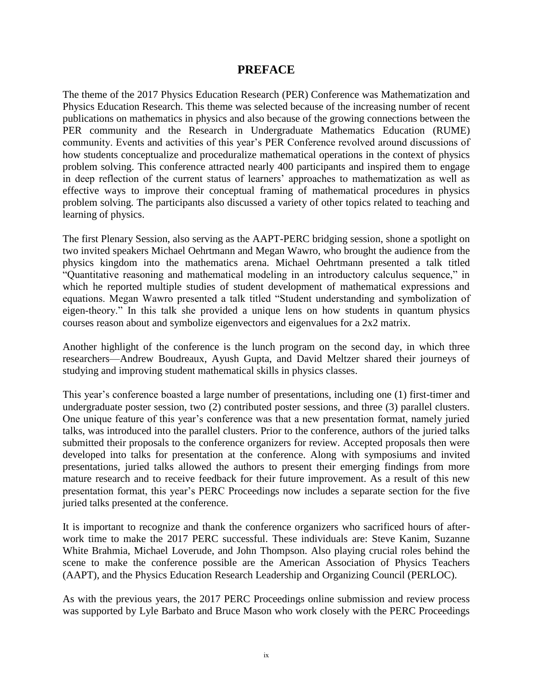## **PREFACE**

The theme of the 2017 Physics Education Research (PER) Conference was Mathematization and Physics Education Research. This theme was selected because of the increasing number of recent publications on mathematics in physics and also because of the growing connections between the PER community and the Research in Undergraduate Mathematics Education (RUME) community. Events and activities of this year's PER Conference revolved around discussions of how students conceptualize and proceduralize mathematical operations in the context of physics problem solving. This conference attracted nearly 400 participants and inspired them to engage in deep reflection of the current status of learners' approaches to mathematization as well as effective ways to improve their conceptual framing of mathematical procedures in physics problem solving. The participants also discussed a variety of other topics related to teaching and learning of physics.

The first Plenary Session, also serving as the AAPT-PERC bridging session, shone a spotlight on two invited speakers Michael Oehrtmann and Megan Wawro, who brought the audience from the physics kingdom into the mathematics arena. Michael Oehrtmann presented a talk titled "Quantitative reasoning and mathematical modeling in an introductory calculus sequence," in which he reported multiple studies of student development of mathematical expressions and equations. Megan Wawro presented a talk titled "Student understanding and symbolization of eigen-theory." In this talk she provided a unique lens on how students in quantum physics courses reason about and symbolize eigenvectors and eigenvalues for a 2x2 matrix.

Another highlight of the conference is the lunch program on the second day, in which three researchers—Andrew Boudreaux, Ayush Gupta, and David Meltzer shared their journeys of studying and improving student mathematical skills in physics classes.

This year's conference boasted a large number of presentations, including one (1) first-timer and undergraduate poster session, two (2) contributed poster sessions, and three (3) parallel clusters. One unique feature of this year's conference was that a new presentation format, namely juried talks, was introduced into the parallel clusters. Prior to the conference, authors of the juried talks submitted their proposals to the conference organizers for review. Accepted proposals then were developed into talks for presentation at the conference. Along with symposiums and invited presentations, juried talks allowed the authors to present their emerging findings from more mature research and to receive feedback for their future improvement. As a result of this new presentation format, this year's PERC Proceedings now includes a separate section for the five juried talks presented at the conference.

It is important to recognize and thank the conference organizers who sacrificed hours of afterwork time to make the 2017 PERC successful. These individuals are: Steve Kanim, Suzanne White Brahmia, Michael Loverude, and John Thompson. Also playing crucial roles behind the scene to make the conference possible are the American Association of Physics Teachers (AAPT), and the Physics Education Research Leadership and Organizing Council (PERLOC).

As with the previous years, the 2017 PERC Proceedings online submission and review process was supported by Lyle Barbato and Bruce Mason who work closely with the PERC Proceedings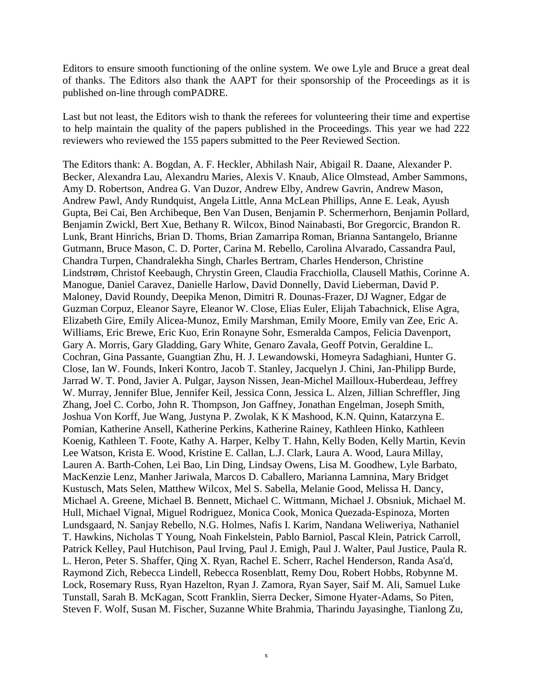Editors to ensure smooth functioning of the online system. We owe Lyle and Bruce a great deal of thanks. The Editors also thank the AAPT for their sponsorship of the Proceedings as it is published on-line through comPADRE.

Last but not least, the Editors wish to thank the referees for volunteering their time and expertise to help maintain the quality of the papers published in the Proceedings. This year we had 222 reviewers who reviewed the 155 papers submitted to the Peer Reviewed Section.

The Editors thank: A. Bogdan, A. F. Heckler, Abhilash Nair, Abigail R. Daane, Alexander P. Becker, Alexandra Lau, Alexandru Maries, Alexis V. Knaub, Alice Olmstead, Amber Sammons, Amy D. Robertson, Andrea G. Van Duzor, Andrew Elby, Andrew Gavrin, Andrew Mason, Andrew Pawl, Andy Rundquist, Angela Little, Anna McLean Phillips, Anne E. Leak, Ayush Gupta, Bei Cai, Ben Archibeque, Ben Van Dusen, Benjamin P. Schermerhorn, Benjamin Pollard, Benjamin Zwickl, Bert Xue, Bethany R. Wilcox, Binod Nainabasti, Bor Gregorcic, Brandon R. Lunk, Brant Hinrichs, Brian D. Thoms, Brian Zamarripa Roman, Brianna Santangelo, Brianne Gutmann, Bruce Mason, C. D. Porter, Carina M. Rebello, Carolina Alvarado, Cassandra Paul, Chandra Turpen, Chandralekha Singh, Charles Bertram, Charles Henderson, Christine Lindstrøm, Christof Keebaugh, Chrystin Green, Claudia Fracchiolla, Clausell Mathis, Corinne A. Manogue, Daniel Caravez, Danielle Harlow, David Donnelly, David Lieberman, David P. Maloney, David Roundy, Deepika Menon, Dimitri R. Dounas-Frazer, DJ Wagner, Edgar de Guzman Corpuz, Eleanor Sayre, Eleanor W. Close, Elias Euler, Elijah Tabachnick, Elise Agra, Elizabeth Gire, Emily Alicea-Munoz, Emily Marshman, Emily Moore, Emily van Zee, Eric A. Williams, Eric Brewe, Eric Kuo, Erin Ronayne Sohr, Esmeralda Campos, Felicia Davenport, Gary A. Morris, Gary Gladding, Gary White, Genaro Zavala, Geoff Potvin, Geraldine L. Cochran, Gina Passante, Guangtian Zhu, H. J. Lewandowski, Homeyra Sadaghiani, Hunter G. Close, Ian W. Founds, Inkeri Kontro, Jacob T. Stanley, Jacquelyn J. Chini, Jan-Philipp Burde, Jarrad W. T. Pond, Javier A. Pulgar, Jayson Nissen, Jean-Michel Mailloux-Huberdeau, Jeffrey W. Murray, Jennifer Blue, Jennifer Keil, Jessica Conn, Jessica L. Alzen, Jillian Schreffler, Jing Zhang, Joel C. Corbo, John R. Thompson, Jon Gaffney, Jonathan Engelman, Joseph Smith, Joshua Von Korff, Jue Wang, Justyna P. Zwolak, K K Mashood, K.N. Quinn, Katarzyna E. Pomian, Katherine Ansell, Katherine Perkins, Katherine Rainey, Kathleen Hinko, Kathleen Koenig, Kathleen T. Foote, Kathy A. Harper, Kelby T. Hahn, Kelly Boden, Kelly Martin, Kevin Lee Watson, Krista E. Wood, Kristine E. Callan, L.J. Clark, Laura A. Wood, Laura Millay, Lauren A. Barth-Cohen, Lei Bao, Lin Ding, Lindsay Owens, Lisa M. Goodhew, Lyle Barbato, MacKenzie Lenz, Manher Jariwala, Marcos D. Caballero, Marianna Lamnina, Mary Bridget Kustusch, Mats Selen, Matthew Wilcox, Mel S. Sabella, Melanie Good, Melissa H. Dancy, Michael A. Greene, Michael B. Bennett, Michael C. Wittmann, Michael J. Obsniuk, Michael M. Hull, Michael Vignal, Miguel Rodriguez, Monica Cook, Monica Quezada-Espinoza, Morten Lundsgaard, N. Sanjay Rebello, N.G. Holmes, Nafis I. Karim, Nandana Weliweriya, Nathaniel T. Hawkins, Nicholas T Young, Noah Finkelstein, Pablo Barniol, Pascal Klein, Patrick Carroll, Patrick Kelley, Paul Hutchison, Paul Irving, Paul J. Emigh, Paul J. Walter, Paul Justice, Paula R. L. Heron, Peter S. Shaffer, Qing X. Ryan, Rachel E. Scherr, Rachel Henderson, Randa Asa'd, Raymond Zich, Rebecca Lindell, Rebecca Rosenblatt, Remy Dou, Robert Hobbs, Robynne M. Lock, Rosemary Russ, Ryan Hazelton, Ryan J. Zamora, Ryan Sayer, Saif M. Ali, Samuel Luke Tunstall, Sarah B. McKagan, Scott Franklin, Sierra Decker, Simone Hyater-Adams, So Piten, Steven F. Wolf, Susan M. Fischer, Suzanne White Brahmia, Tharindu Jayasinghe, Tianlong Zu,